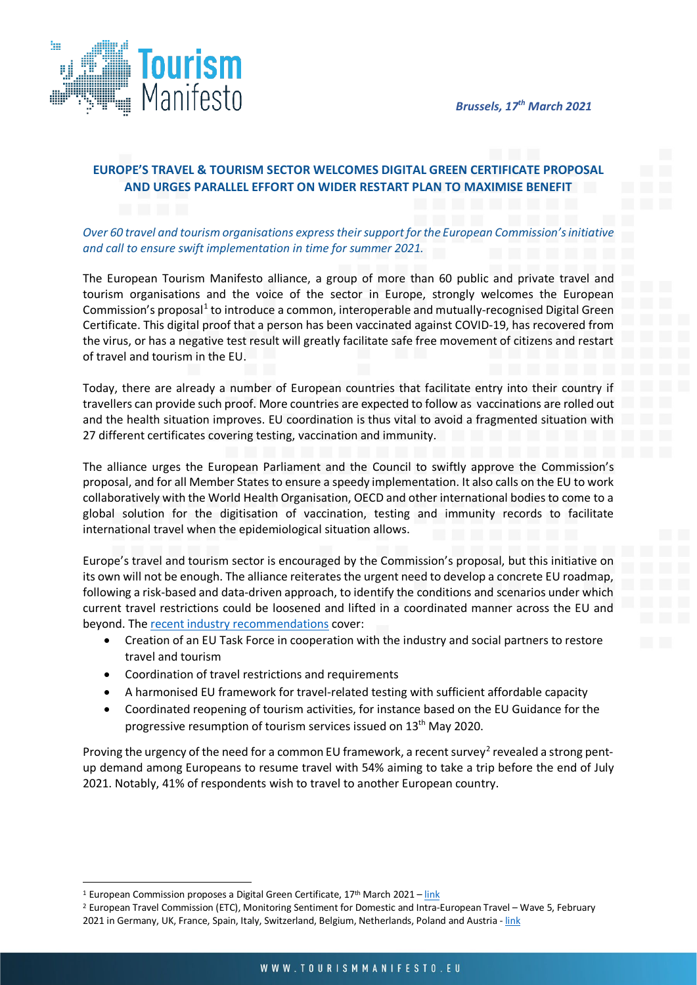

# **EUROPE'S TRAVEL & TOURISM SECTOR WELCOMES DIGITAL GREEN CERTIFICATE PROPOSAL AND URGES PARALLEL EFFORT ON WIDER RESTART PLAN TO MAXIMISE BENEFIT**

# *Over 60 travel and tourism organisations express their support for the European Commission's initiative and call to ensure swift implementation in time for summer 2021.*

The European Tourism Manifesto alliance, a group of more than 60 public and private travel and tourism organisations and the voice of the sector in Europe, strongly welcomes the European Commission's proposal<sup>[1](#page-0-0)</sup> to introduce a common, interoperable and mutually-recognised Digital Green Certificate. This digital proof that a person has been vaccinated against COVID-19, has recovered from the virus, or has a negative test result will greatly facilitate safe free movement of citizens and restart of travel and tourism in the EU.

Today, there are already a number of European countries that facilitate entry into their country if travellers can provide such proof. More countries are expected to follow as vaccinations are rolled out and the health situation improves. EU coordination is thus vital to avoid a fragmented situation with 27 different certificates covering testing, vaccination and immunity.

The alliance urges the European Parliament and the Council to swiftly approve the Commission's proposal, and for all Member States to ensure a speedy implementation. It also calls on the EU to work collaboratively with the World Health Organisation, OECD and other international bodies to come to a global solution for the digitisation of vaccination, testing and immunity records to facilitate international travel when the epidemiological situation allows.

Europe's travel and tourism sector is encouraged by the Commission's proposal, but this initiative on its own will not be enough. The alliance reiterates the urgent need to develop a concrete EU roadmap, following a risk-based and data-driven approach, to identify the conditions and scenarios under which current travel restrictions could be loosened and lifted in a coordinated manner across the EU and beyond. The [recent industry recommendations](https://tourismmanifesto.eu/europes-travel-tourism-sector-calls-on-eu-governments-to-chart-restart-plan-in-time-for-summer/) cover:

- Creation of an EU Task Force in cooperation with the industry and social partners to restore travel and tourism
- Coordination of travel restrictions and requirements
- A harmonised EU framework for travel-related testing with sufficient affordable capacity
- Coordinated reopening of tourism activities, for instance based on the EU Guidance for the progressive resumption of tourism services issued on 13<sup>th</sup> May 2020.

Proving the urgency of the need for a common EU framework, a recent survey<sup>[2](#page-0-1)</sup> revealed a strong pentup demand among Europeans to resume travel with 54% aiming to take a trip before the end of July 2021. Notably, 41% of respondents wish to travel to another European country.

<span id="page-0-0"></span><sup>&</sup>lt;sup>1</sup> European Commission proposes a Digital Green Certificate,  $17<sup>th</sup>$  March 2021 – [link](https://ec.europa.eu/commission/presscorner/detail/en/ip_21_1181)

<span id="page-0-1"></span><sup>2</sup> European Travel Commission (ETC), Monitoring Sentiment for Domestic and Intra-European Travel – Wave 5, February 2021 in Germany, UK, France, Spain, Italy, Switzerland, Belgium, Netherlands, Poland and Austria - [link](https://etc-corporate.org/reports/monitoring-sentiment-for-domestic-and-intra-european-travel-wave-5/)